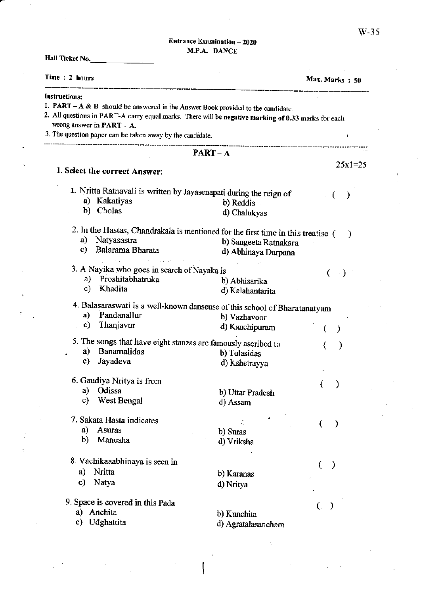## Entrance Examination - 2020 M,P.A. DANCE

| Time: 2 hours                                                                                         |                       | Max. Marks: 50     |
|-------------------------------------------------------------------------------------------------------|-----------------------|--------------------|
| <b>Instructions:</b>                                                                                  |                       |                    |
| 1. <b>PART</b> $-A \& B$ should be answered in the Answer Book provided to the candidate.             |                       |                    |
| 2. All questions in PART-A carry equal marks. There will be negative marking of 0.33 marks for each   |                       |                    |
| wrong answer in $\textbf{PART} - \textbf{A}$ .                                                        |                       |                    |
| 3. The question paper can be taken away by the candidate.                                             |                       | $\pmb{\cdot}$      |
|                                                                                                       | $PART - A$            |                    |
| 1. Select the correct Answer:                                                                         |                       | $25x1=25$          |
|                                                                                                       |                       |                    |
| 1. Nritta Ratnavali is written by Jayasenapati during the reign of                                    |                       |                    |
| a) Kakatiyas                                                                                          | b) Reddis             | )<br>-0            |
| Cholas<br>b)                                                                                          | d) Chalukyas          |                    |
|                                                                                                       |                       |                    |
| 2. In the Hastas, Chandrakala is mentioned for the first time in this treatise (<br>Natyasastra<br>a) |                       | -)                 |
| Balarama Bharata<br>c)                                                                                | b) Sangeeta Ratnakara |                    |
|                                                                                                       | d) Abhinaya Darpana   |                    |
| 3. A Nayika who goes in search of Nayaka is                                                           |                       | $\rightarrow$ )    |
| Proshitabhatruka<br>a)                                                                                | b) Abhisarika         |                    |
| Khadita<br>c)                                                                                         | d) Kalahantarita      |                    |
| 4. Balasaraswati is a well-known danseuse of this school of Bharatanatyam                             |                       |                    |
| Pandanallur<br>a)                                                                                     | b) Vazhavoor          |                    |
| Thanjavur<br>c)                                                                                       | d) Kanchipuram        | $\mathcal{Y}$<br>€ |
| 5. The songs that have eight stanzas are famously ascribed to                                         |                       |                    |
| <b>Banamalidas</b><br>a)                                                                              | b) Tulasidas          | ⟩                  |
| Jayadeva<br>c)                                                                                        | d) Kshetrayya         |                    |
|                                                                                                       |                       |                    |
| 6. Gaudiya Nritya is from                                                                             |                       |                    |
| a) Odissa                                                                                             | b) Uttar Pradesh      |                    |
| c)<br>West Bengal                                                                                     | d) Assam              |                    |
| 7. Sakata Hasta indicates                                                                             |                       |                    |
| a)<br>Asuras                                                                                          | b) Suras              | $\rightarrow$<br>€ |
| Manusha<br>b)                                                                                         | d) Vriksha            |                    |
|                                                                                                       |                       |                    |
| 8. Vachikaaabhinaya is seen in                                                                        |                       | €                  |
| Nritta<br>a)                                                                                          | b) Karanas            |                    |
| Natya<br>c)                                                                                           | d) Nritya             |                    |
| 9. Space is covered in this Pada                                                                      |                       |                    |
| Anchita<br>a)                                                                                         |                       |                    |
| Udghattita<br>c)                                                                                      | b) Kunchita           |                    |
|                                                                                                       | d) Agratalasanchara   |                    |

 $\overline{\mathcal{L}}$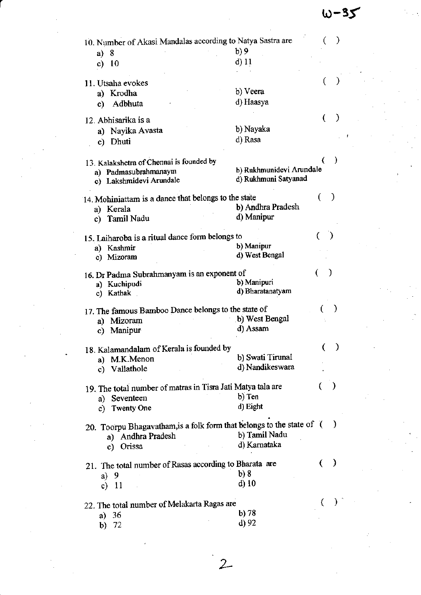$w-35$ 

| 10. Number of Akasi Mandalas according to Natya Sastra are            |                              |   |               |  |  |
|-----------------------------------------------------------------------|------------------------------|---|---------------|--|--|
| 8<br>a)                                                               | b)9                          |   |               |  |  |
| c) $10$                                                               | $d$ ) 11                     |   |               |  |  |
|                                                                       |                              |   |               |  |  |
| 11. Utsaha evokes                                                     |                              |   |               |  |  |
| a) Krodha                                                             | b) Veera                     |   |               |  |  |
| Adbhuta<br>c)                                                         | d) Haasya                    |   |               |  |  |
| 12. Abhisarika is a                                                   |                              | € | €             |  |  |
| a) Nayika Avasta                                                      | b) Nayaka                    |   |               |  |  |
| c) Dhuti                                                              | d) Rasa                      |   |               |  |  |
|                                                                       |                              |   |               |  |  |
| 13. Kalakshetra of Chennai is founded by                              |                              |   |               |  |  |
| a) Padmasubrahmanaym                                                  | b) Rukhmunidevi Arundale     |   |               |  |  |
| c) Lakshmidevi Arundale                                               | d) Rukhmuni Satyanad         |   |               |  |  |
|                                                                       |                              |   |               |  |  |
| 14. Mohiniattam is a dance that belongs to the state                  |                              |   |               |  |  |
| a) Kerala                                                             | b) Andhra Pradesh            |   |               |  |  |
| Tamil Nadu<br>c)                                                      | d) Manipur                   |   |               |  |  |
|                                                                       |                              |   |               |  |  |
| 15. Laiharoba is a ritual dance form belongs to                       |                              |   | €             |  |  |
| a) Kashmir                                                            | b) Manipur<br>d) West Bengal |   |               |  |  |
| c) Mizoram                                                            |                              |   |               |  |  |
| 16. Dr Padma Subrahmanyam is an exponent of                           |                              |   | $\lambda$     |  |  |
| a) Kuchipudi                                                          | b) Manipuri                  |   |               |  |  |
| c) Kathak                                                             | d) Bharatanatyam             |   |               |  |  |
|                                                                       |                              |   |               |  |  |
| 17. The famous Bamboo Dance belongs to the state of                   |                              |   |               |  |  |
| Mizoram<br>a)                                                         | b) West Bengal               |   |               |  |  |
| c) Manipur                                                            | d) Assam                     |   |               |  |  |
|                                                                       |                              |   | $\mathcal{E}$ |  |  |
| 18. Kalamandalam of Kerala is founded by                              | b) Swati Tirunal             |   |               |  |  |
| a) M.K.Menon                                                          | d) Nandikeswara              |   |               |  |  |
| c) Vallathole                                                         |                              |   |               |  |  |
| 19. The total number of matras in Tisra Jati Matya tala are           |                              |   | $\mathcal{Y}$ |  |  |
| a) Seventeen                                                          | b) Ten                       |   |               |  |  |
| c) Twenty One                                                         | d) Eight                     |   |               |  |  |
|                                                                       |                              |   |               |  |  |
| 20. Toorpu Bhagavatham, is a folk form that belongs to the state of ( |                              |   |               |  |  |
| a) Andhra Pradesh                                                     | b) Tamil Nadu                |   |               |  |  |
| c) Orissa                                                             | d) Karnataka                 |   |               |  |  |
|                                                                       |                              |   |               |  |  |
| 21. The total number of Rasas according to Bharata are                |                              | € | $\rightarrow$ |  |  |
| a) $9$                                                                | b)8                          |   |               |  |  |
| c) $11$                                                               | $d)$ 10                      |   |               |  |  |
|                                                                       |                              |   |               |  |  |
| 22. The total number of Melakarta Ragas are                           | b) 78                        |   |               |  |  |
| a) $36$                                                               | d) 92                        |   |               |  |  |
| b) $72$                                                               |                              |   |               |  |  |
|                                                                       |                              |   |               |  |  |
|                                                                       |                              |   |               |  |  |
|                                                                       |                              |   |               |  |  |
|                                                                       |                              |   |               |  |  |
|                                                                       |                              |   |               |  |  |

 $\label{eq:2} \frac{1}{\sqrt{2}}\left(\frac{1}{\sqrt{2}}\right)^{2} \left(\frac{1}{\sqrt{2}}\right)^{2} \left(\frac{1}{\sqrt{2}}\right)^{2}$